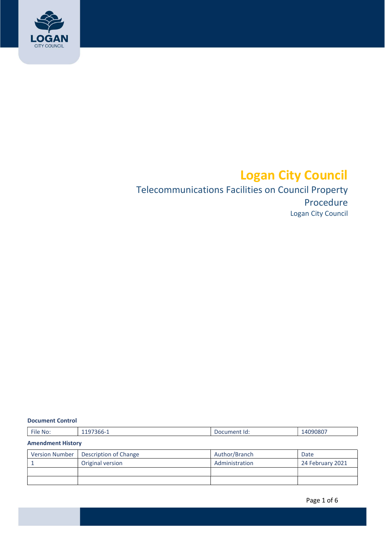

# Logan City Council

## Logan City Council Telecommunications Facilities on Council Property Procedure

#### Document Control

| File No:                 | 1197366-1             | Document Id:   | 14090807         |  |  |
|--------------------------|-----------------------|----------------|------------------|--|--|
| <b>Amendment History</b> |                       |                |                  |  |  |
| <b>Version Number</b>    | Description of Change | Author/Branch  | Date             |  |  |
|                          | Original version      | Administration | 24 February 2021 |  |  |
|                          |                       |                |                  |  |  |
|                          |                       |                |                  |  |  |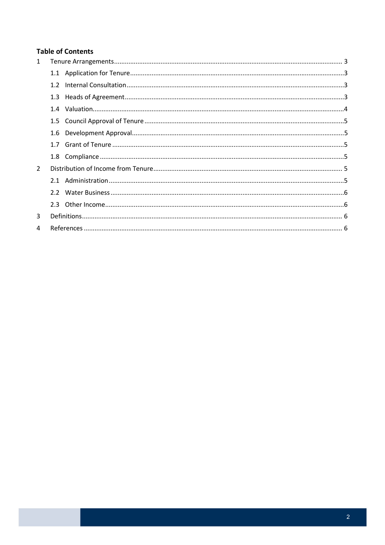## **Table of Contents**

| $\mathbf{1}$  |     |  |  |
|---------------|-----|--|--|
|               |     |  |  |
|               | 1.2 |  |  |
|               |     |  |  |
|               |     |  |  |
|               |     |  |  |
|               |     |  |  |
|               |     |  |  |
|               |     |  |  |
| $\mathcal{P}$ |     |  |  |
|               |     |  |  |
|               |     |  |  |
|               |     |  |  |
| 3             |     |  |  |
| 4             |     |  |  |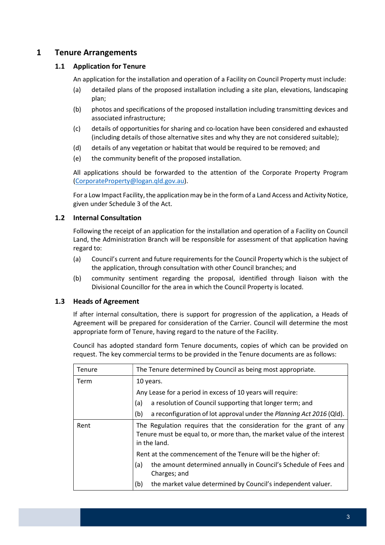## <span id="page-2-0"></span>1 Tenure Arrangements

#### 1.1 Application for Tenure

An application for the installation and operation of a Facility on Council Property must include:

- (a) detailed plans of the proposed installation including a site plan, elevations, landscaping plan;
- (b) photos and specifications of the proposed installation including transmitting devices and associated infrastructure;
- (c) details of opportunities for sharing and co-location have been considered and exhausted (including details of those alternative sites and why they are not considered suitable);
- (d) details of any vegetation or habitat that would be required to be removed; and
- (e) the community benefit of the proposed installation.

 All applications should be forwarded to the attention of the Corporate Property Program (CorporateProperty@logan.qld.gov.au).

For a Low Impact Facility, the application may be in the form of a Land Access and Activity Notice, given under Schedule 3 of the Act.

#### 1.2 Internal Consultation

 Following the receipt of an application for the installation and operation of a Facility on Council Land, the Administration Branch will be responsible for assessment of that application having regard to:

- (a) Council's current and future requirements for the Council Property which is the subject of the application, through consultation with other Council branches; and
- (b) community sentiment regarding the proposal, identified through liaison with the Divisional Councillor for the area in which the Council Property is located.

#### 1.3 Heads of Agreement

 If after internal consultation, there is support for progression of the application, a Heads of Agreement will be prepared for consideration of the Carrier. Council will determine the most appropriate form of Tenure, having regard to the nature of the Facility.

 Council has adopted standard form Tenure documents, copies of which can be provided on request. The key commercial terms to be provided in the Tenure documents are as follows:

| Tenure | The Tenure determined by Council as being most appropriate.                                                                                                                                                                     |  |
|--------|---------------------------------------------------------------------------------------------------------------------------------------------------------------------------------------------------------------------------------|--|
| Term   | 10 years.                                                                                                                                                                                                                       |  |
|        | Any Lease for a period in excess of 10 years will require:                                                                                                                                                                      |  |
|        | a resolution of Council supporting that longer term; and<br>(a)                                                                                                                                                                 |  |
|        | a reconfiguration of lot approval under the Planning Act 2016 (Qld).<br>(b)                                                                                                                                                     |  |
| Rent   | The Regulation requires that the consideration for the grant of any<br>Tenure must be equal to, or more than, the market value of the interest<br>in the land.<br>Rent at the commencement of the Tenure will be the higher of: |  |
|        |                                                                                                                                                                                                                                 |  |
|        | the amount determined annually in Council's Schedule of Fees and<br>(a)<br>Charges; and                                                                                                                                         |  |
|        | the market value determined by Council's independent valuer.<br>(b)                                                                                                                                                             |  |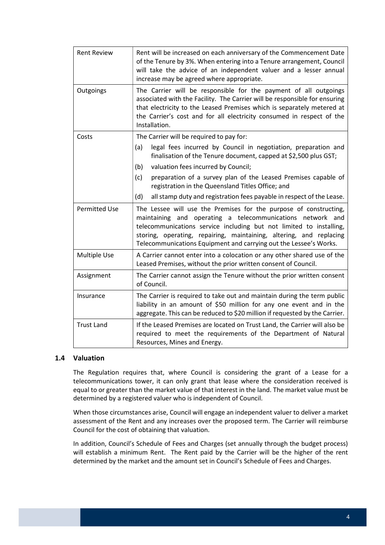<span id="page-3-0"></span>

| <b>Rent Review</b>   | Rent will be increased on each anniversary of the Commencement Date<br>of the Tenure by 3%. When entering into a Tenure arrangement, Council<br>will take the advice of an independent valuer and a lesser annual<br>increase may be agreed where appropriate.                                                                                     |
|----------------------|----------------------------------------------------------------------------------------------------------------------------------------------------------------------------------------------------------------------------------------------------------------------------------------------------------------------------------------------------|
| Outgoings            | The Carrier will be responsible for the payment of all outgoings<br>associated with the Facility. The Carrier will be responsible for ensuring<br>that electricity to the Leased Premises which is separately metered at<br>the Carrier's cost and for all electricity consumed in respect of the<br>Installation.                                 |
| Costs                | The Carrier will be required to pay for:                                                                                                                                                                                                                                                                                                           |
|                      | legal fees incurred by Council in negotiation, preparation and<br>(a)<br>finalisation of the Tenure document, capped at \$2,500 plus GST;                                                                                                                                                                                                          |
|                      | valuation fees incurred by Council;<br>(b)                                                                                                                                                                                                                                                                                                         |
|                      | (c)<br>preparation of a survey plan of the Leased Premises capable of<br>registration in the Queensland Titles Office; and                                                                                                                                                                                                                         |
|                      | (d)<br>all stamp duty and registration fees payable in respect of the Lease.                                                                                                                                                                                                                                                                       |
| <b>Permitted Use</b> | The Lessee will use the Premises for the purpose of constructing,<br>maintaining and operating a telecommunications network and<br>telecommunications service including but not limited to installing,<br>storing, operating, repairing, maintaining, altering, and replacing<br>Telecommunications Equipment and carrying out the Lessee's Works. |
| <b>Multiple Use</b>  | A Carrier cannot enter into a colocation or any other shared use of the<br>Leased Premises, without the prior written consent of Council.                                                                                                                                                                                                          |
| Assignment           | The Carrier cannot assign the Tenure without the prior written consent<br>of Council.                                                                                                                                                                                                                                                              |
| Insurance            | The Carrier is required to take out and maintain during the term public<br>liability in an amount of \$50 million for any one event and in the<br>aggregate. This can be reduced to \$20 million if requested by the Carrier.                                                                                                                      |
| <b>Trust Land</b>    | If the Leased Premises are located on Trust Land, the Carrier will also be<br>required to meet the requirements of the Department of Natural<br>Resources, Mines and Energy.                                                                                                                                                                       |

#### 1.4 Valuation

 The Regulation requires that, where Council is considering the grant of a Lease for a telecommunications tower, it can only grant that lease where the consideration received is equal to or greater than the market value of that interest in the land. The market value must be determined by a registered valuer who is independent of Council.

 When those circumstances arise, Council will engage an independent valuer to deliver a market assessment of the Rent and any increases over the proposed term. The Carrier will reimburse Council for the cost of obtaining that valuation.

 In addition, Council's Schedule of Fees and Charges (set annually through the budget process) will establish a minimum Rent. The Rent paid by the Carrier will be the higher of the rent determined by the market and the amount set in Council's Schedule of Fees and Charges.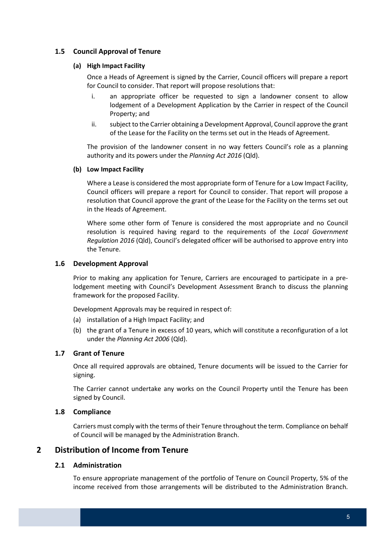### <span id="page-4-0"></span>1.5 Council Approval of Tenure

#### (a) High Impact Facility

 Once a Heads of Agreement is signed by the Carrier, Council officers will prepare a report for Council to consider. That report will propose resolutions that:

- i. an appropriate officer be requested to sign a landowner consent to allow lodgement of a Development Application by the Carrier in respect of the Council Property; and
- ii. subject to the Carrier obtaining a Development Approval, Council approve the grant of the Lease for the Facility on the terms set out in the Heads of Agreement.

 The provision of the landowner consent in no way fetters Council's role as a planning authority and its powers under the Planning Act 2016 (Qld).

#### (b) Low Impact Facility

 Where a Lease is considered the most appropriate form of Tenure for a Low Impact Facility, Council officers will prepare a report for Council to consider. That report will propose a resolution that Council approve the grant of the Lease for the Facility on the terms set out in the Heads of Agreement.

 Where some other form of Tenure is considered the most appropriate and no Council resolution is required having regard to the requirements of the Local Government Regulation 2016 (Qld), Council's delegated officer will be authorised to approve entry into the Tenure.

#### 1.6 Development Approval

 Prior to making any application for Tenure, Carriers are encouraged to participate in a pre- lodgement meeting with Council's Development Assessment Branch to discuss the planning framework for the proposed Facility.

Development Approvals may be required in respect of:

- (a) installation of a High Impact Facility; and
- (b) the grant of a Tenure in excess of 10 years, which will constitute a reconfiguration of a lot under the Planning Act 2006 (Qld).

#### 1.7 Grant of Tenure

 Once all required approvals are obtained, Tenure documents will be issued to the Carrier for signing.

 The Carrier cannot undertake any works on the Council Property until the Tenure has been signed by Council.

#### 1.8 Compliance

 Carriers must comply with the terms of their Tenure throughout the term. Compliance on behalf of Council will be managed by the Administration Branch.

#### Distribution of Income from Tenure 2

#### 2.1 Administration

 To ensure appropriate management of the portfolio of Tenure on Council Property, 5% of the income received from those arrangements will be distributed to the Administration Branch.